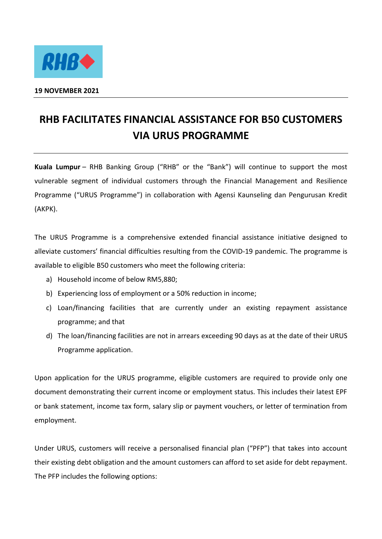

## **RHB FACILITATES FINANCIAL ASSISTANCE FOR B50 CUSTOMERS VIA URUS PROGRAMME**

**Kuala Lumpur** – RHB Banking Group ("RHB" or the "Bank") will continue to support the most vulnerable segment of individual customers through the Financial Management and Resilience Programme ("URUS Programme") in collaboration with Agensi Kaunseling dan Pengurusan Kredit (AKPK).

The URUS Programme is a comprehensive extended financial assistance initiative designed to alleviate customers' financial difficulties resulting from the COVID-19 pandemic. The programme is available to eligible B50 customers who meet the following criteria:

- a) Household income of below RM5,880;
- b) Experiencing loss of employment or a 50% reduction in income;
- c) Loan/financing facilities that are currently under an existing repayment assistance programme; and that
- d) The loan/financing facilities are not in arrears exceeding 90 days as at the date of their URUS Programme application.

Upon application for the URUS programme, eligible customers are required to provide only one document demonstrating their current income or employment status. This includes their latest EPF or bank statement, income tax form, salary slip or payment vouchers, or letter of termination from employment.

Under URUS, customers will receive a personalised financial plan ("PFP") that takes into account their existing debt obligation and the amount customers can afford to set aside for debt repayment. The PFP includes the following options: